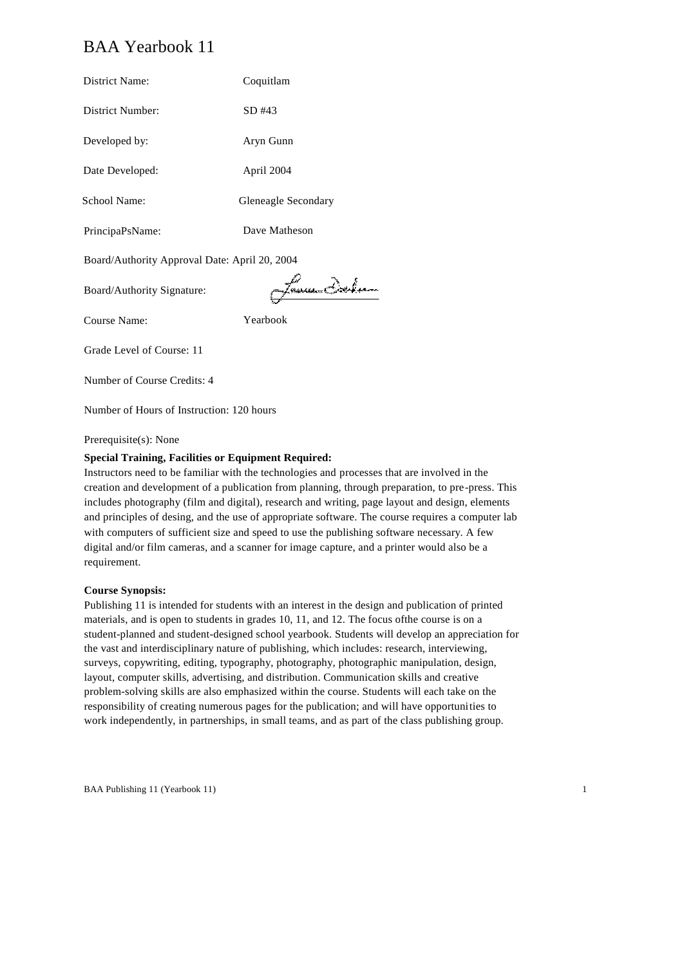# BAA Yearbook 11

| District Name:                                | Coquitlam           |
|-----------------------------------------------|---------------------|
| District Number:                              | SD #43              |
| Developed by:                                 | Aryn Gunn           |
| Date Developed:                               | April 2004          |
| School Name:                                  | Gleneagle Secondary |
| PrincipaPsName:                               | Dave Matheson       |
| Board/Authority Approval Date: April 20, 2004 |                     |
| Board/Authority Signature:                    | tanu Ich            |
| Course Name:                                  | Yearbook            |
| Grade Level of Course: 11                     |                     |
| Number of Course Credits: 4                   |                     |

Number of Hours of Instruction: 120 hours

### Prerequisite(s): None

### **Special Training, Facilities or Equipment Required:**

Instructors need to be familiar with the technologies and processes that are involved in the creation and development of a publication from planning, through preparation, to pre-press. This includes photography (film and digital), research and writing, page layout and design, elements and principles of desing, and the use of appropriate software. The course requires a computer lab with computers of sufficient size and speed to use the publishing software necessary. A few digital and/or film cameras, and a scanner for image capture, and a printer would also be a requirement.

### **Course Synopsis:**

Publishing 11 is intended for students with an interest in the design and publication of printed materials, and is open to students in grades 10, 11, and 12. The focus ofthe course is on a student-planned and student-designed school yearbook. Students will develop an appreciation for the vast and interdisciplinary nature of publishing, which includes: research, interviewing, surveys, copywriting, editing, typography, photography, photographic manipulation, design, layout, computer skills, advertising, and distribution. Communication skills and creative problem-solving skills are also emphasized within the course. Students will each take on the responsibility of creating numerous pages for the publication; and will have opportunities to work independently, in partnerships, in small teams, and as part of the class publishing group.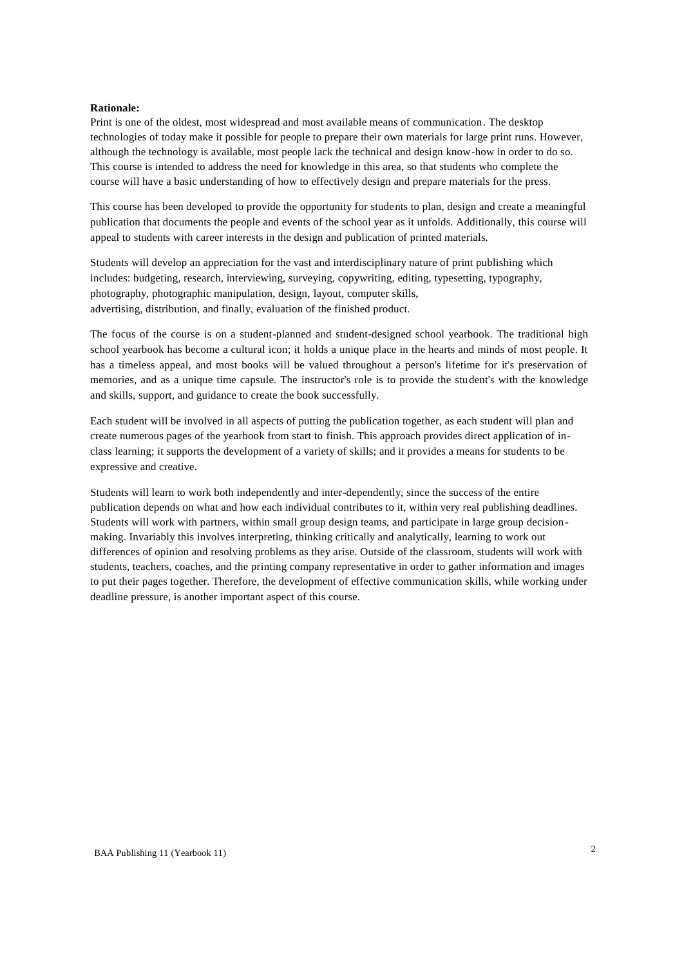### **Rationale:**

Print is one of the oldest, most widespread and most available means of communication. The desktop technologies of today make it possible for people to prepare their own materials for large print runs. However, although the technology is available, most people lack the technical and design know-how in order to do so. This course is intended to address the need for knowledge in this area, so that students who complete the course will have a basic understanding of how to effectively design and prepare materials for the press.

This course has been developed to provide the opportunity for students to plan, design and create a meaningful publication that documents the people and events of the school year as it unfolds. Additionally, this course will appeal to students with career interests in the design and publication of printed materials.

Students will develop an appreciation for the vast and interdisciplinary nature of print publishing which includes: budgeting, research, interviewing, surveying, copywriting, editing, typesetting, typography, photography, photographic manipulation, design, layout, computer skills, advertising, distribution, and finally, evaluation of the finished product.

The focus of the course is on a student-planned and student-designed school yearbook. The traditional high school yearbook has become a cultural icon; it holds a unique place in the hearts and minds of most people. It has a timeless appeal, and most books will be valued throughout a person's lifetime for it's preservation of memories, and as a unique time capsule. The instructor's role is to provide the student's with the knowledge and skills, support, and guidance to create the book successfully.

Each student will be involved in all aspects of putting the publication together, as each student will plan and create numerous pages of the yearbook from start to finish. This approach provides direct application of inclass learning; it supports the development of a variety of skills; and it provides a means for students to be expressive and creative.

Students will learn to work both independently and inter-dependently, since the success of the entire publication depends on what and how each individual contributes to it, within very real publishing deadlines. Students will work with partners, within small group design teams, and participate in large group decisionmaking. Invariably this involves interpreting, thinking critically and analytically, learning to work out differences of opinion and resolving problems as they arise. Outside of the classroom, students will work with students, teachers, coaches, and the printing company representative in order to gather information and images to put their pages together. Therefore, the development of effective communication skills, while working under deadline pressure, is another important aspect of this course.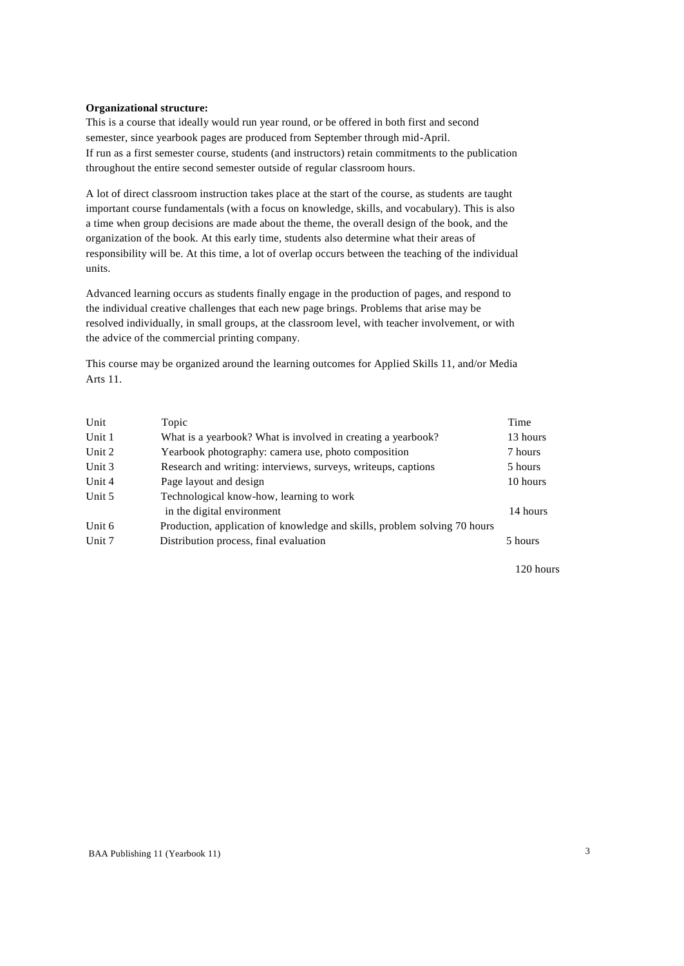### **Organizational structure:**

This is a course that ideally would run year round, or be offered in both first and second semester, since yearbook pages are produced from September through mid-April. If run as a first semester course, students (and instructors) retain commitments to the publication throughout the entire second semester outside of regular classroom hours.

A lot of direct classroom instruction takes place at the start of the course, as students are taught important course fundamentals (with a focus on knowledge, skills, and vocabulary). This is also a time when group decisions are made about the theme, the overall design of the book, and the organization of the book. At this early time, students also determine what their areas of responsibility will be. At this time, a lot of overlap occurs between the teaching of the individual units.

Advanced learning occurs as students finally engage in the production of pages, and respond to the individual creative challenges that each new page brings. Problems that arise may be resolved individually, in small groups, at the classroom level, with teacher involvement, or with the advice of the commercial printing company.

This course may be organized around the learning outcomes for Applied Skills 11, and/or Media Arts 11.

| Unit   | Topic                                                                     | Time     |
|--------|---------------------------------------------------------------------------|----------|
| Unit 1 | What is a yearbook? What is involved in creating a yearbook?              | 13 hours |
| Unit 2 | Yearbook photography: camera use, photo composition                       | 7 hours  |
| Unit 3 | Research and writing: interviews, surveys, writeups, captions             | 5 hours  |
| Unit 4 | Page layout and design                                                    | 10 hours |
| Unit 5 | Technological know-how, learning to work                                  |          |
|        | in the digital environment                                                | 14 hours |
| Unit 6 | Production, application of knowledge and skills, problem solving 70 hours |          |
| Unit 7 | Distribution process, final evaluation                                    | 5 hours  |
|        |                                                                           |          |

120 hours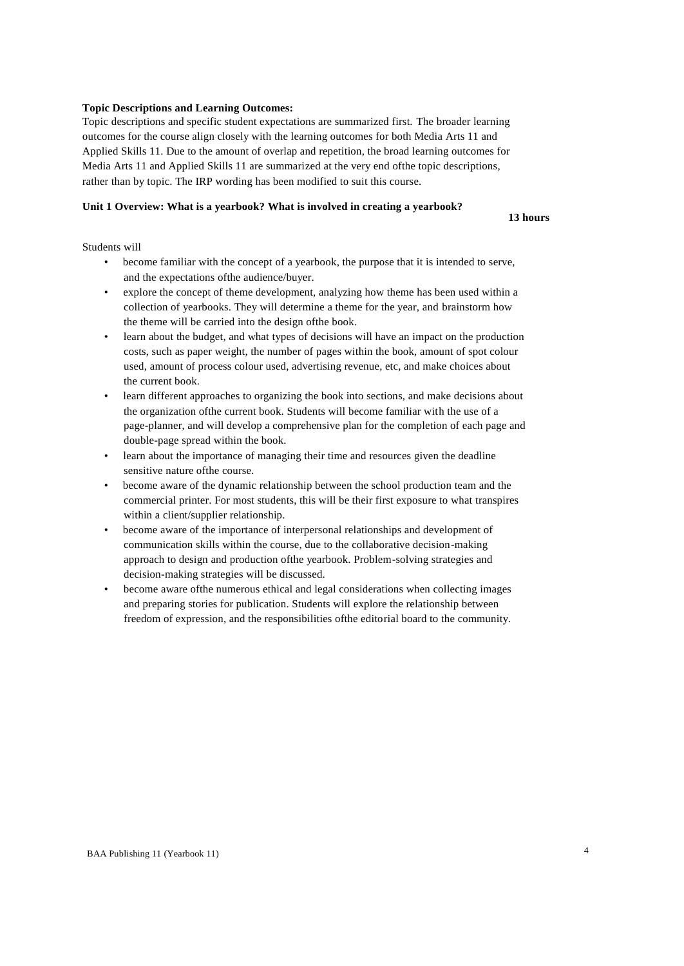### **Topic Descriptions and Learning Outcomes:**

Topic descriptions and specific student expectations are summarized first. The broader learning outcomes for the course align closely with the learning outcomes for both Media Arts 11 and Applied Skills 11. Due to the amount of overlap and repetition, the broad learning outcomes for Media Arts 11 and Applied Skills 11 are summarized at the very end ofthe topic descriptions, rather than by topic. The IRP wording has been modified to suit this course.

## **Unit 1 Overview: What is a yearbook? What is involved in creating a yearbook?**

**13 hours**

- become familiar with the concept of a yearbook, the purpose that it is intended to serve, and the expectations ofthe audience/buyer.
- explore the concept of theme development, analyzing how theme has been used within a collection of yearbooks. They will determine a theme for the year, and brainstorm how the theme will be carried into the design ofthe book.
- learn about the budget, and what types of decisions will have an impact on the production costs, such as paper weight, the number of pages within the book, amount of spot colour used, amount of process colour used, advertising revenue, etc, and make choices about the current book.
- learn different approaches to organizing the book into sections, and make decisions about the organization ofthe current book. Students will become familiar with the use of a page-planner, and will develop a comprehensive plan for the completion of each page and double-page spread within the book.
- learn about the importance of managing their time and resources given the deadline sensitive nature ofthe course.
- become aware of the dynamic relationship between the school production team and the commercial printer. For most students, this will be their first exposure to what transpires within a client/supplier relationship.
- become aware of the importance of interpersonal relationships and development of communication skills within the course, due to the collaborative decision-making approach to design and production ofthe yearbook. Problem-solving strategies and decision-making strategies will be discussed.
- become aware ofthe numerous ethical and legal considerations when collecting images and preparing stories for publication. Students will explore the relationship between freedom of expression, and the responsibilities ofthe editorial board to the community.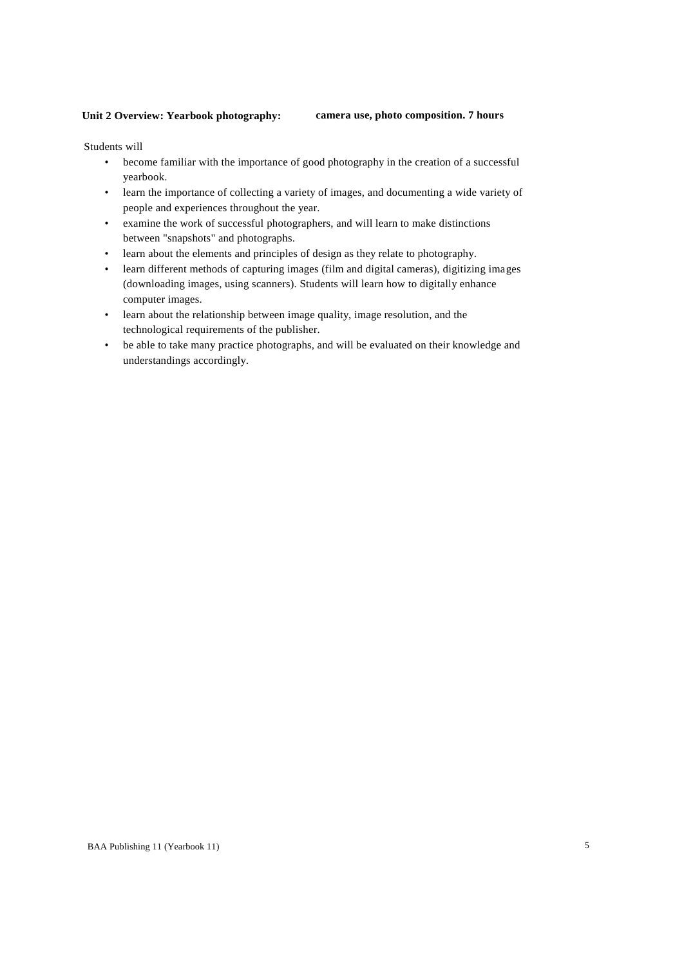### **Unit 2 Overview: Yearbook photography: camera use, photo composition. 7 hours**

- become familiar with the importance of good photography in the creation of a successful yearbook.
- learn the importance of collecting a variety of images, and documenting a wide variety of people and experiences throughout the year.
- examine the work of successful photographers, and will learn to make distinctions between "snapshots" and photographs.
- learn about the elements and principles of design as they relate to photography.
- learn different methods of capturing images (film and digital cameras), digitizing images (downloading images, using scanners). Students will learn how to digitally enhance computer images.
- learn about the relationship between image quality, image resolution, and the technological requirements of the publisher.
- be able to take many practice photographs, and will be evaluated on their knowledge and understandings accordingly.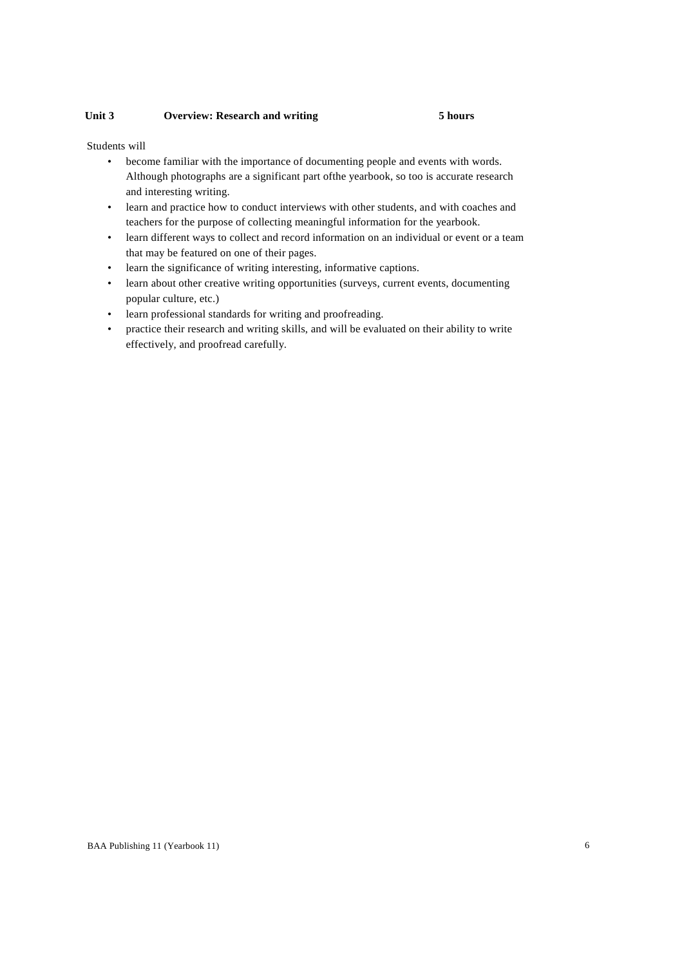### **Unit 3 Overview: Research and writing 5 hours**

- become familiar with the importance of documenting people and events with words. Although photographs are a significant part ofthe yearbook, so too is accurate research and interesting writing.
- learn and practice how to conduct interviews with other students, and with coaches and teachers for the purpose of collecting meaningful information for the yearbook.
- learn different ways to collect and record information on an individual or event or a team that may be featured on one of their pages.
- learn the significance of writing interesting, informative captions.
- learn about other creative writing opportunities (surveys, current events, documenting popular culture, etc.)
- learn professional standards for writing and proofreading.
- practice their research and writing skills, and will be evaluated on their ability to write effectively, and proofread carefully.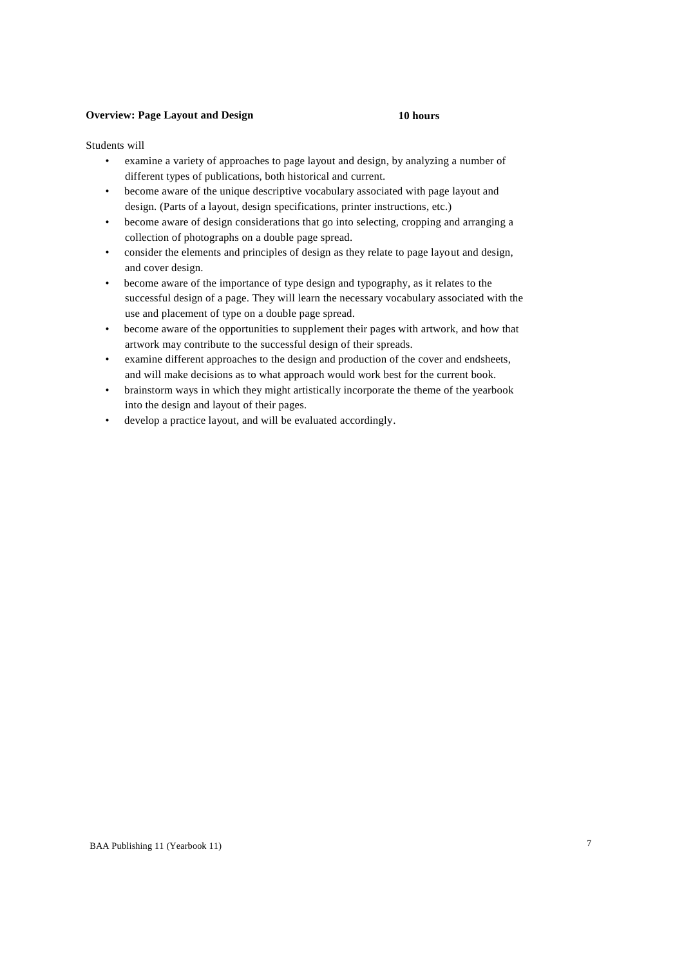### **Overview: Page Layout and Design 10 hours**

- examine a variety of approaches to page layout and design, by analyzing a number of different types of publications, both historical and current.
- become aware of the unique descriptive vocabulary associated with page layout and design. (Parts of a layout, design specifications, printer instructions, etc.)
- become aware of design considerations that go into selecting, cropping and arranging a collection of photographs on a double page spread.
- consider the elements and principles of design as they relate to page layout and design, and cover design.
- become aware of the importance of type design and typography, as it relates to the successful design of a page. They will learn the necessary vocabulary associated with the use and placement of type on a double page spread.
- become aware of the opportunities to supplement their pages with artwork, and how that artwork may contribute to the successful design of their spreads.
- examine different approaches to the design and production of the cover and endsheets, and will make decisions as to what approach would work best for the current book.
- brainstorm ways in which they might artistically incorporate the theme of the yearbook into the design and layout of their pages.
- develop a practice layout, and will be evaluated accordingly.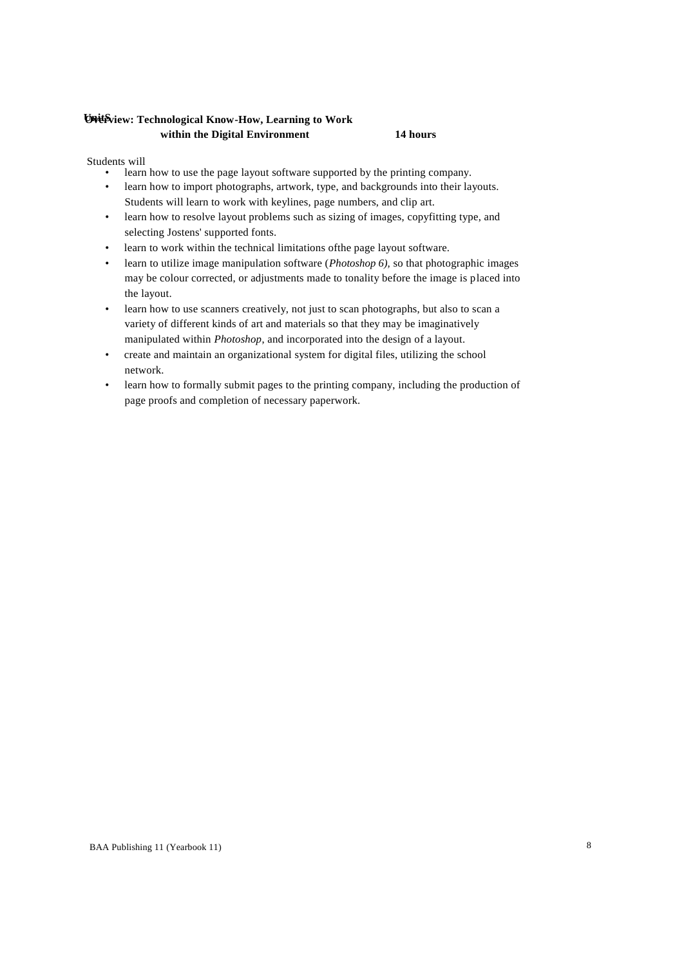# **UnitS Overview: Technological Know-How, Learning to Work within the Digital Environment 14 hours**

- learn how to use the page layout software supported by the printing company.
- learn how to import photographs, artwork, type, and backgrounds into their layouts. Students will learn to work with keylines, page numbers, and clip art.
- learn how to resolve layout problems such as sizing of images, copyfitting type, and selecting Jostens' supported fonts.
- learn to work within the technical limitations ofthe page layout software.
- learn to utilize image manipulation software (*Photoshop 6),* so that photographic images may be colour corrected, or adjustments made to tonality before the image is placed into the layout.
- learn how to use scanners creatively, not just to scan photographs, but also to scan a variety of different kinds of art and materials so that they may be imaginatively manipulated within *Photoshop*, and incorporated into the design of a layout.
- create and maintain an organizational system for digital files, utilizing the school network.
- learn how to formally submit pages to the printing company, including the production of page proofs and completion of necessary paperwork.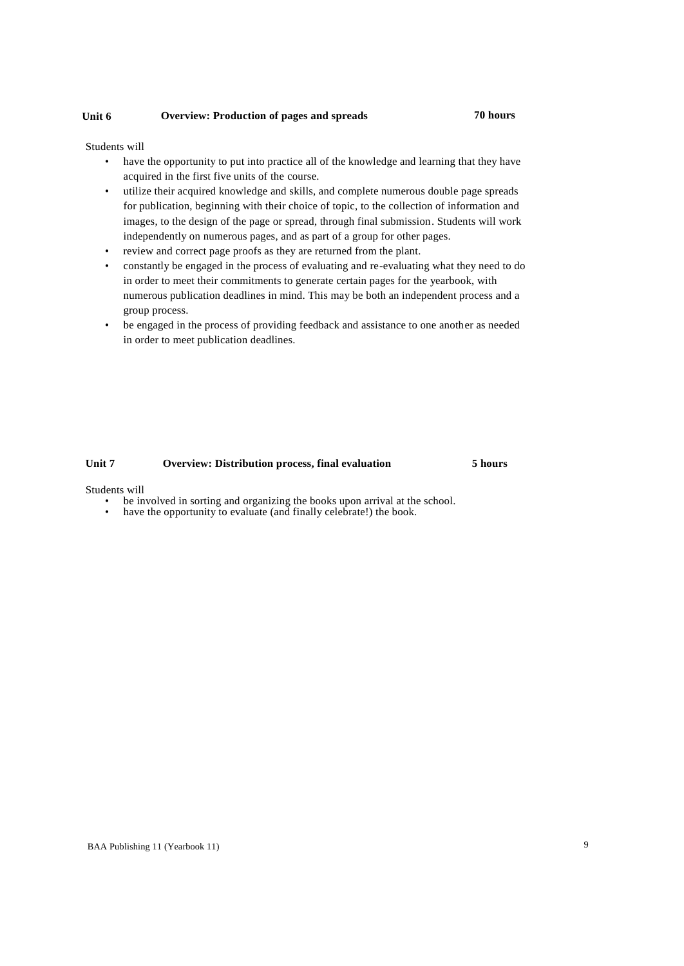## **Unit 6 Overview: Production of pages and spreads 70 hours**

Students will

- have the opportunity to put into practice all of the knowledge and learning that they have acquired in the first five units of the course.
- utilize their acquired knowledge and skills, and complete numerous double page spreads for publication, beginning with their choice of topic, to the collection of information and images, to the design of the page or spread, through final submission. Students will work independently on numerous pages, and as part of a group for other pages.
- review and correct page proofs as they are returned from the plant.
- constantly be engaged in the process of evaluating and re-evaluating what they need to do in order to meet their commitments to generate certain pages for the yearbook, with numerous publication deadlines in mind. This may be both an independent process and a group process.
- be engaged in the process of providing feedback and assistance to one another as needed in order to meet publication deadlines.

# **Unit 7 Overview: Distribution process, final evaluation 5 hours**

- be involved in sorting and organizing the books upon arrival at the school.
- have the opportunity to evaluate (and finally celebrate!) the book.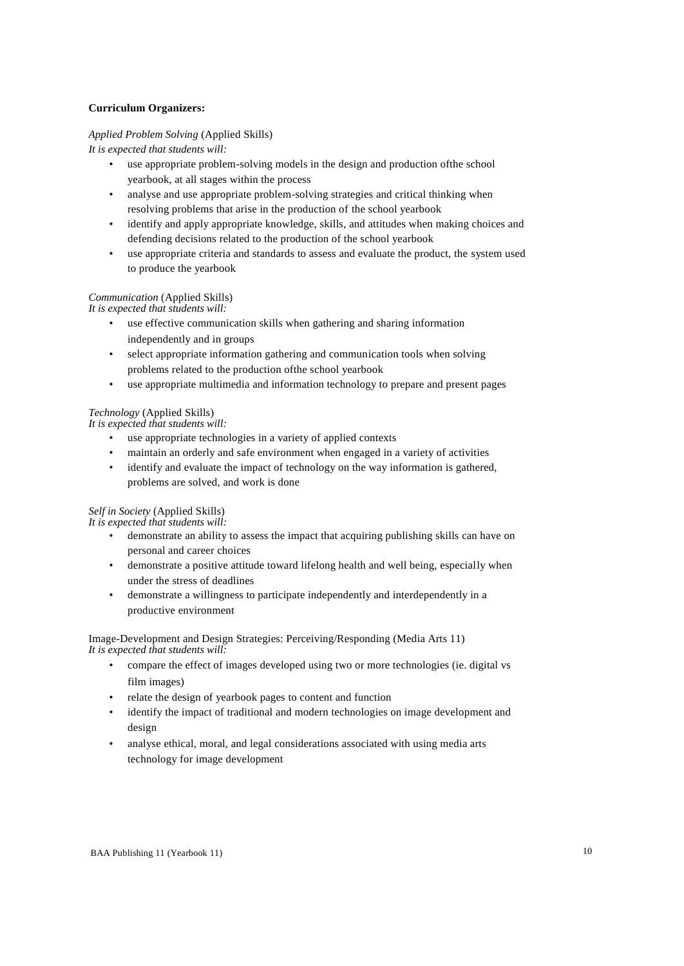## **Curriculum Organizers:**

### *Applied Problem Solving* (Applied Skills)

*It is expected that students will:*

- use appropriate problem-solving models in the design and production ofthe school yearbook, at all stages within the process
- analyse and use appropriate problem-solving strategies and critical thinking when resolving problems that arise in the production of the school yearbook
- identify and apply appropriate knowledge, skills, and attitudes when making choices and defending decisions related to the production of the school yearbook
- use appropriate criteria and standards to assess and evaluate the product, the system used to produce the yearbook

# *Communication* (Applied Skills)

*It is expected that students will:*

- use effective communication skills when gathering and sharing information independently and in groups
- select appropriate information gathering and communication tools when solving problems related to the production ofthe school yearbook
- use appropriate multimedia and information technology to prepare and present pages

# *Technology* (Applied Skills)

*It is expected that students will:*

- use appropriate technologies in a variety of applied contexts
- maintain an orderly and safe environment when engaged in a variety of activities
- identify and evaluate the impact of technology on the way information is gathered, problems are solved, and work is done

# *Self in Society* (Applied Skills)

*It is expected that students will:*

- demonstrate an ability to assess the impact that acquiring publishing skills can have on personal and career choices
- demonstrate a positive attitude toward lifelong health and well being, especially when under the stress of deadlines
- demonstrate a willingness to participate independently and interdependently in a productive environment

### Image-Development and Design Strategies: Perceiving/Responding (Media Arts 11) *It is expected that students will:*

- compare the effect of images developed using two or more technologies (ie. digital vs film images)
- relate the design of yearbook pages to content and function
- identify the impact of traditional and modern technologies on image development and design
- analyse ethical, moral, and legal considerations associated with using media arts technology for image development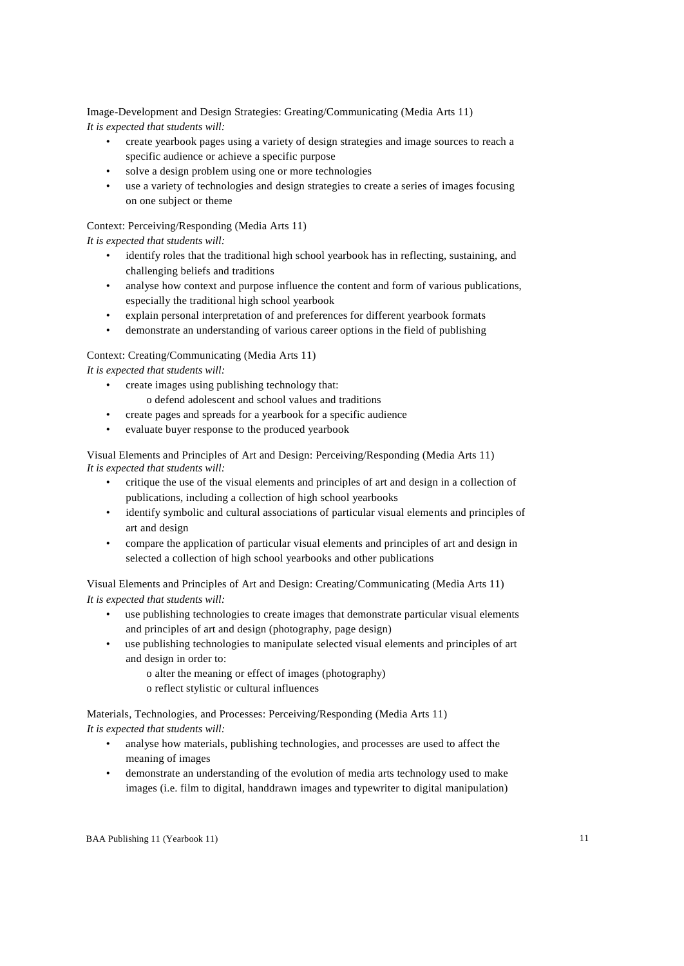Image-Development and Design Strategies: Greating/Communicating (Media Arts 11) *It is expected that students will:*

- create yearbook pages using a variety of design strategies and image sources to reach a specific audience or achieve a specific purpose
- solve a design problem using one or more technologies
- use a variety of technologies and design strategies to create a series of images focusing on one subject or theme

Context: Perceiving/Responding (Media Arts 11)

*It is expected that students will:*

- identify roles that the traditional high school yearbook has in reflecting, sustaining, and challenging beliefs and traditions
- analyse how context and purpose influence the content and form of various publications, especially the traditional high school yearbook
- explain personal interpretation of and preferences for different yearbook formats
- demonstrate an understanding of various career options in the field of publishing

### Context: Creating/Communicating (Media Arts 11)

*It is expected that students will:*

- create images using publishing technology that:
	- o defend adolescent and school values and traditions
- create pages and spreads for a yearbook for a specific audience
- evaluate buyer response to the produced yearbook

Visual Elements and Principles of Art and Design: Perceiving/Responding (Media Arts 11) *It is expected that students will:*

- critique the use of the visual elements and principles of art and design in a collection of publications, including a collection of high school yearbooks
- identify symbolic and cultural associations of particular visual elements and principles of art and design
- compare the application of particular visual elements and principles of art and design in selected a collection of high school yearbooks and other publications

Visual Elements and Principles of Art and Design: Creating/Communicating (Media Arts 11) *It is expected that students will:*

- use publishing technologies to create images that demonstrate particular visual elements and principles of art and design (photography, page design)
- use publishing technologies to manipulate selected visual elements and principles of art and design in order to:
	- o alter the meaning or effect of images (photography) o reflect stylistic or cultural influences

Materials, Technologies, and Processes: Perceiving/Responding (Media Arts 11)

*It is expected that students will:*

- analyse how materials, publishing technologies, and processes are used to affect the meaning of images
- demonstrate an understanding of the evolution of media arts technology used to make images (i.e. film to digital, handdrawn images and typewriter to digital manipulation)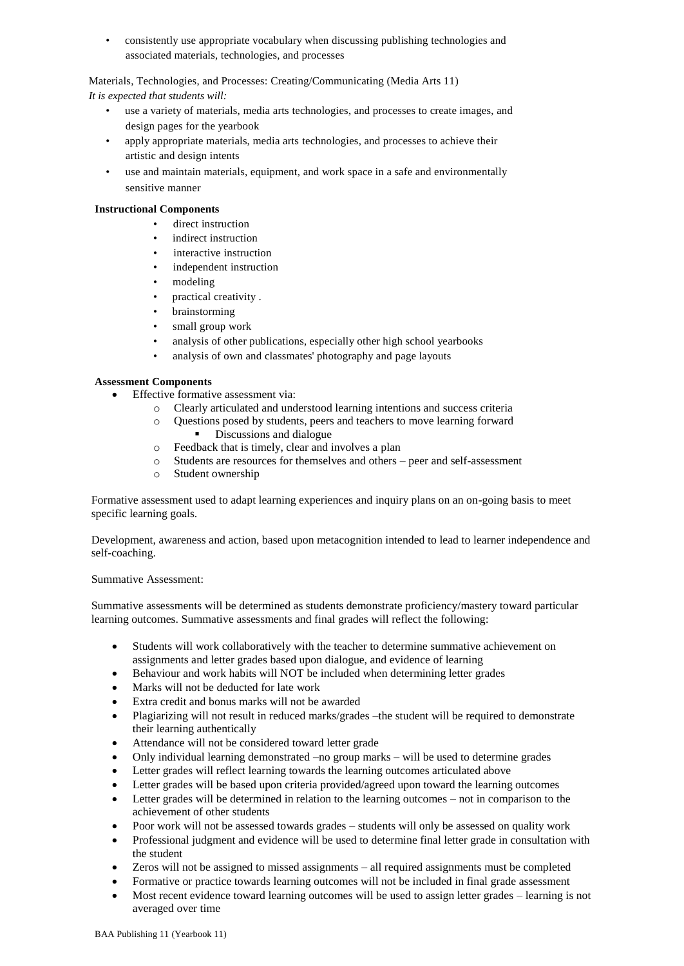• consistently use appropriate vocabulary when discussing publishing technologies and associated materials, technologies, and processes

Materials, Technologies, and Processes: Creating/Communicating (Media Arts 11) *It is expected that students will:*

- use a variety of materials, media arts technologies, and processes to create images, and design pages for the yearbook
- apply appropriate materials, media arts technologies, and processes to achieve their artistic and design intents
- use and maintain materials, equipment, and work space in a safe and environmentally sensitive manner

# **Instructional Components**

- direct instruction
- indirect instruction
- interactive instruction
- independent instruction
- modeling
- practical creativity .
- brainstorming
- small group work
- analysis of other publications, especially other high school yearbooks
- analysis of own and classmates' photography and page layouts

# **Assessment Components**

- Effective formative assessment via:
	- o Clearly articulated and understood learning intentions and success criteria
	- o Questions posed by students, peers and teachers to move learning forward Discussions and dialogue
	- o Feedback that is timely, clear and involves a plan
	- o Students are resources for themselves and others peer and self-assessment
	- o Student ownership

Formative assessment used to adapt learning experiences and inquiry plans on an on-going basis to meet specific learning goals.

Development, awareness and action, based upon metacognition intended to lead to learner independence and self-coaching.

### Summative Assessment:

Summative assessments will be determined as students demonstrate proficiency/mastery toward particular learning outcomes. Summative assessments and final grades will reflect the following:

- Students will work collaboratively with the teacher to determine summative achievement on assignments and letter grades based upon dialogue, and evidence of learning
- Behaviour and work habits will NOT be included when determining letter grades
- Marks will not be deducted for late work
- Extra credit and bonus marks will not be awarded
- Plagiarizing will not result in reduced marks/grades –the student will be required to demonstrate their learning authentically
- Attendance will not be considered toward letter grade
- Only individual learning demonstrated –no group marks will be used to determine grades
- Letter grades will reflect learning towards the learning outcomes articulated above
- Letter grades will be based upon criteria provided/agreed upon toward the learning outcomes
- Letter grades will be determined in relation to the learning outcomes not in comparison to the achievement of other students
- Poor work will not be assessed towards grades students will only be assessed on quality work
- Professional judgment and evidence will be used to determine final letter grade in consultation with the student
- Zeros will not be assigned to missed assignments all required assignments must be completed
- Formative or practice towards learning outcomes will not be included in final grade assessment
- Most recent evidence toward learning outcomes will be used to assign letter grades learning is not averaged over time